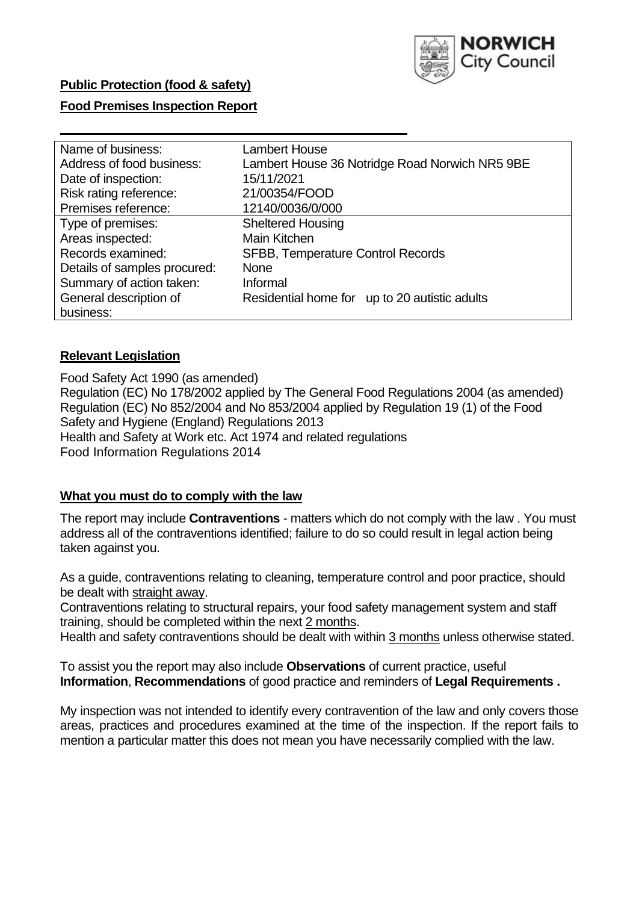

### **Food Premises Inspection Report**

| Lambert House                                  |
|------------------------------------------------|
| Lambert House 36 Notridge Road Norwich NR5 9BE |
| 15/11/2021                                     |
| 21/00354/FOOD                                  |
| 12140/0036/0/000                               |
| <b>Sheltered Housing</b>                       |
| <b>Main Kitchen</b>                            |
| <b>SFBB, Temperature Control Records</b>       |
| <b>None</b>                                    |
| Informal                                       |
| Residential home for up to 20 autistic adults  |
|                                                |
|                                                |

### **Relevant Legislation**

 Food Safety Act 1990 (as amended) Regulation (EC) No 178/2002 applied by The General Food Regulations 2004 (as amended) Regulation (EC) No 852/2004 and No 853/2004 applied by Regulation 19 (1) of the Food Safety and Hygiene (England) Regulations 2013 Health and Safety at Work etc. Act 1974 and related regulations Food Information Regulations 2014

### **What you must do to comply with the law**

 The report may include **Contraventions** - matters which do not comply with the law . You must address all of the contraventions identified; failure to do so could result in legal action being taken against you.

 As a guide, contraventions relating to cleaning, temperature control and poor practice, should be dealt with straight away.

 Contraventions relating to structural repairs, your food safety management system and staff training, should be completed within the next 2 months.

Health and safety contraventions should be dealt with within 3 months unless otherwise stated.

 To assist you the report may also include **Observations** of current practice, useful **Information**, **Recommendations** of good practice and reminders of **Legal Requirements .** 

 My inspection was not intended to identify every contravention of the law and only covers those areas, practices and procedures examined at the time of the inspection. If the report fails to mention a particular matter this does not mean you have necessarily complied with the law.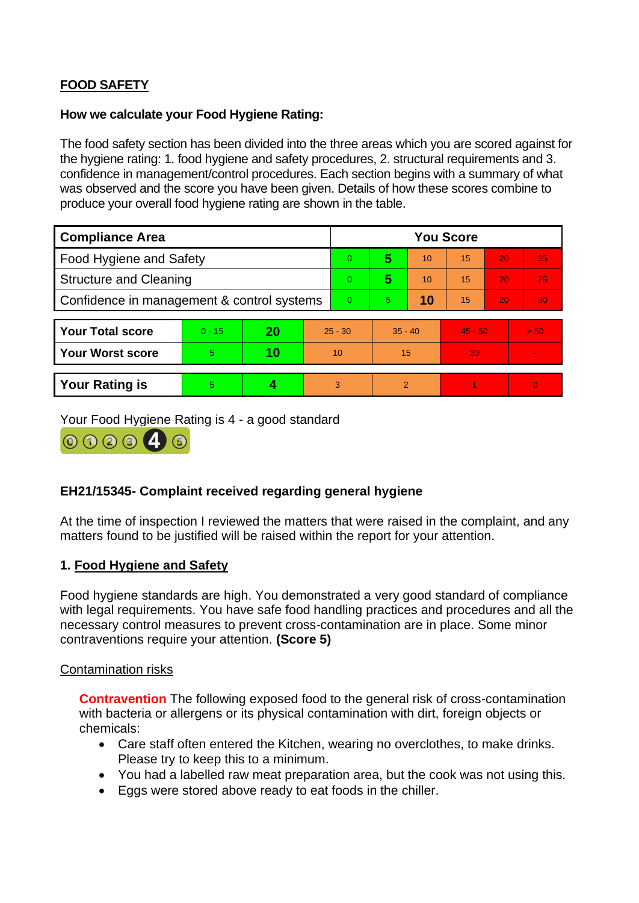# **FOOD SAFETY**

#### **How we calculate your Food Hygiene Rating:**

 The food safety section has been divided into the three areas which you are scored against for the hygiene rating: 1. food hygiene and safety procedures, 2. structural requirements and 3. confidence in management/control procedures. Each section begins with a summary of what was observed and the score you have been given. Details of how these scores combine to produce your overall food hygiene rating are shown in the table.

| <b>Compliance Area</b>                     |          |    |           | <b>You Score</b> |                |    |           |    |                |  |
|--------------------------------------------|----------|----|-----------|------------------|----------------|----|-----------|----|----------------|--|
| Food Hygiene and Safety                    |          |    |           | $\overline{0}$   | 5              | 10 | 15        | 20 | 25             |  |
| <b>Structure and Cleaning</b>              |          |    |           | $\overline{0}$   | 5              | 10 | 15        | 20 | 25             |  |
| Confidence in management & control systems |          |    |           | $\Omega$         | 5              | 10 | 15        | 20 | 30             |  |
|                                            |          |    |           |                  |                |    |           |    |                |  |
| <b>Your Total score</b>                    | $0 - 15$ | 20 | $25 - 30$ |                  | $35 - 40$      |    | $45 - 50$ |    | > 50           |  |
| <b>Your Worst score</b>                    | 5        | 10 | 10        |                  | 15             |    | 20        |    | $\blacksquare$ |  |
|                                            |          |    |           |                  |                |    |           |    |                |  |
| <b>Your Rating is</b>                      | 5        |    |           | 3                | $\overline{2}$ |    |           |    | $\overline{0}$ |  |

Your Food Hygiene Rating is 4 - a good standard



## **EH21/15345- Complaint received regarding general hygiene**

At the time of inspection I reviewed the matters that were raised in the complaint, and any matters found to be justified will be raised within the report for your attention.

### **1. Food Hygiene and Safety**

 Food hygiene standards are high. You demonstrated a very good standard of compliance with legal requirements. You have safe food handling practices and procedures and all the necessary control measures to prevent cross-contamination are in place. Some minor contraventions require your attention. **(Score 5)** 

### Contamination risks

 **Contravention** The following exposed food to the general risk of cross-contamination with bacteria or allergens or its physical contamination with dirt, foreign objects or chemicals:

- Care staff often entered the Kitchen, wearing no overclothes, to make drinks. Please try to keep this to a minimum.
- You had a labelled raw meat preparation area, but the cook was not using this.
- Eggs were stored above ready to eat foods in the chiller.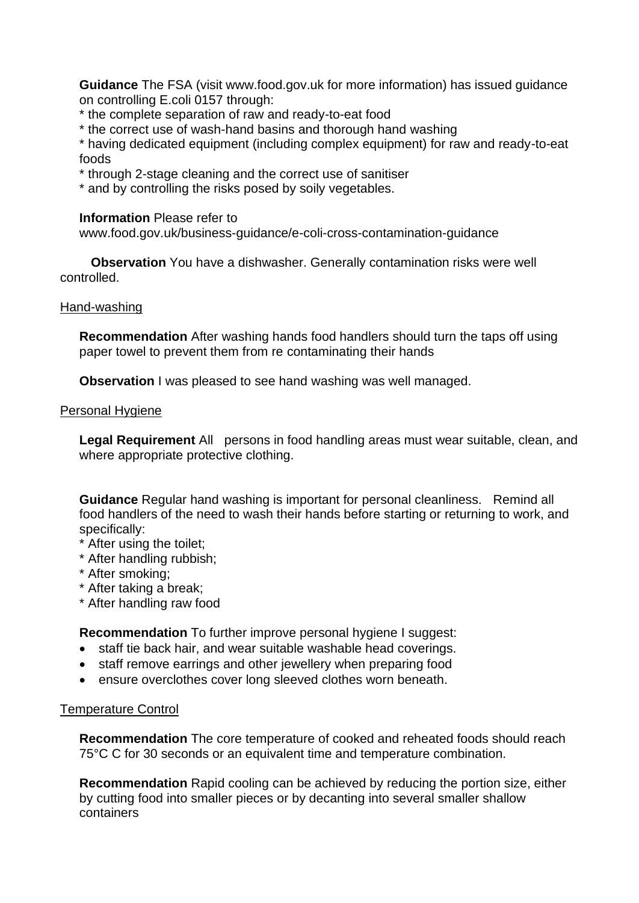**Guidance** The FSA (visit <www.food.gov.uk> for more information) has issued guidance on controlling E.coli 0157 through:

- \* the complete separation of raw and ready-to-eat food
- \* the correct use of wash-hand basins and thorough hand washing

\* having dedicated equipment (including complex equipment) for raw and ready-to-eat foods

- \* through 2-stage cleaning and the correct use of sanitiser
- \* and by controlling the risks posed by soily vegetables.

#### **Information** Please refer to

<www.food.gov.uk/business-guidance/e-coli-cross-contamination-guidance>

**Observation** You have a dishwasher. Generally contamination risks were well controlled.

#### Hand-washing

 **Recommendation** After washing hands food handlers should turn the taps off using paper towel to prevent them from re contaminating their hands

**Observation** I was pleased to see hand washing was well managed.

#### Personal Hygiene

 **Legal Requirement** All persons in food handling areas must wear suitable, clean, and where appropriate protective clothing.

 **Guidance** Regular hand washing is important for personal cleanliness. Remind all food handlers of the need to wash their hands before starting or returning to work, and specifically:

- \* After using the toilet;
- \* After handling rubbish;
- \* After smoking;
- \* After taking a break;
- \* After handling raw food

**Recommendation** To further improve personal hygiene I suggest:

- staff tie back hair, and wear suitable washable head coverings.
- staff remove earrings and other jewellery when preparing food
- ensure overclothes cover long sleeved clothes worn beneath.

### Temperature Control

 75°C C for 30 seconds or an equivalent time and temperature combination. **Recommendation** The core temperature of cooked and reheated foods should reach

**Recommendation** Rapid cooling can be achieved by reducing the portion size, either by cutting food into smaller pieces or by decanting into several smaller shallow containers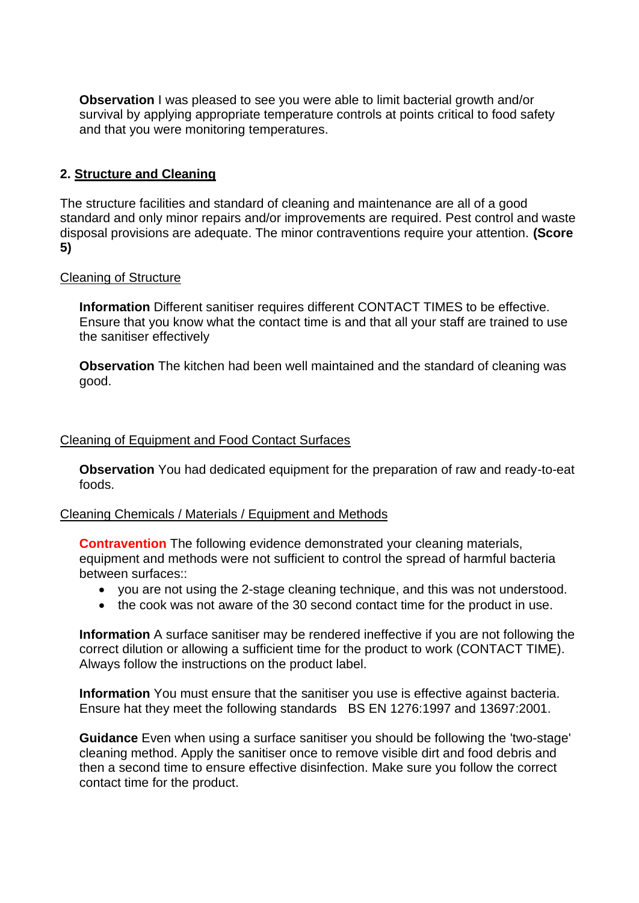**Observation** I was pleased to see you were able to limit bacterial growth and/or survival by applying appropriate temperature controls at points critical to food safety and that you were monitoring temperatures.

### **2. Structure and Cleaning**

 The structure facilities and standard of cleaning and maintenance are all of a good standard and only minor repairs and/or improvements are required. Pest control and waste disposal provisions are adequate. The minor contraventions require your attention. **(Score 5)** 

#### Cleaning of Structure

 Ensure that you know what the contact time is and that all your staff are trained to use **Information** Different sanitiser requires different CONTACT TIMES to be effective. the sanitiser effectively

 **Observation** The kitchen had been well maintained and the standard of cleaning was good.

#### Cleaning of Equipment and Food Contact Surfaces

 **Observation** You had dedicated equipment for the preparation of raw and ready-to-eat foods.

#### Cleaning Chemicals / Materials / Equipment and Methods

**Contravention** The following evidence demonstrated your cleaning materials, equipment and methods were not sufficient to control the spread of harmful bacteria between surfaces::

- you are not using the 2-stage cleaning technique, and this was not understood.
- the cook was not aware of the 30 second contact time for the product in use.

**Information** A surface sanitiser may be rendered ineffective if you are not following the correct dilution or allowing a sufficient time for the product to work (CONTACT TIME). Always follow the instructions on the product label.

 Ensure hat they meet the following standards BS EN 1276:1997 and 13697:2001. **Information** You must ensure that the sanitiser you use is effective against bacteria.

 **Guidance** Even when using a surface sanitiser you should be following the 'two-stage' cleaning method. Apply the sanitiser once to remove visible dirt and food debris and then a second time to ensure effective disinfection. Make sure you follow the correct contact time for the product.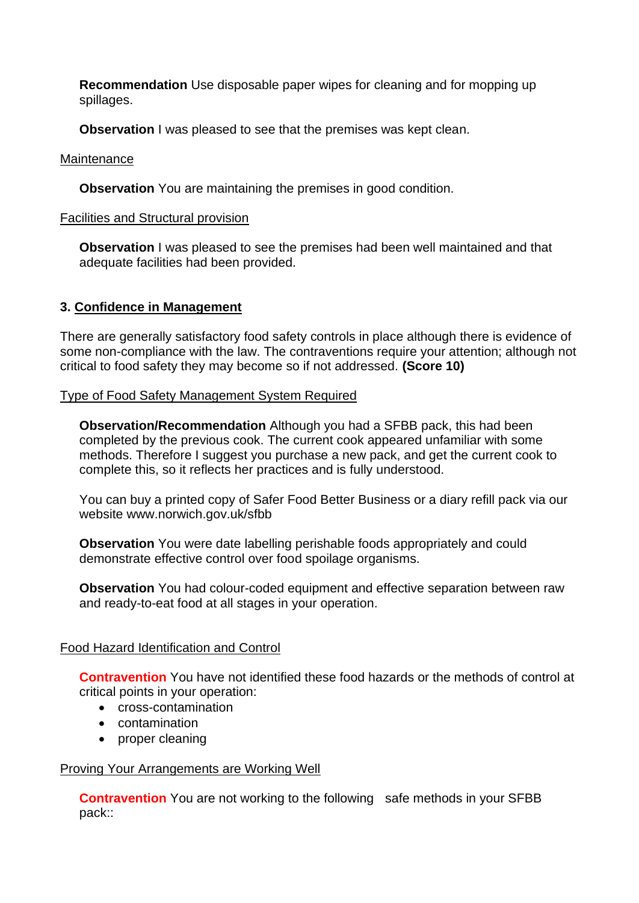**Recommendation** Use disposable paper wipes for cleaning and for mopping up spillages.

**Observation** I was pleased to see that the premises was kept clean.

### **Maintenance**

**Observation** You are maintaining the premises in good condition.

### Facilities and Structural provision

 **Observation** I was pleased to see the premises had been well maintained and that adequate facilities had been provided.

## **3. Confidence in Management**

 There are generally satisfactory food safety controls in place although there is evidence of some non-compliance with the law. The contraventions require your attention; although not critical to food safety they may become so if not addressed. **(Score 10)** 

### Type of Food Safety Management System Required

**Observation/Recommendation** Although you had a SFBB pack, this had been completed by the previous cook. The current cook appeared unfamiliar with some methods. Therefore I suggest you purchase a new pack, and get the current cook to complete this, so it reflects her practices and is fully understood.

You can buy a printed copy of Safer Food Better Business or a diary refill pack via our website<www.norwich.gov.uk/sfbb>

 demonstrate effective control over food spoilage organisms. **Observation** You were date labelling perishable foods appropriately and could

**Observation** You had colour-coded equipment and effective separation between raw and ready-to-eat food at all stages in your operation.

## Food Hazard Identification and Control

**Contravention** You have not identified these food hazards or the methods of control at critical points in your operation:

- cross-contamination
- contamination
- proper cleaning

### Proving Your Arrangements are Working Well

**Contravention** You are not working to the following safe methods in your SFBB pack::